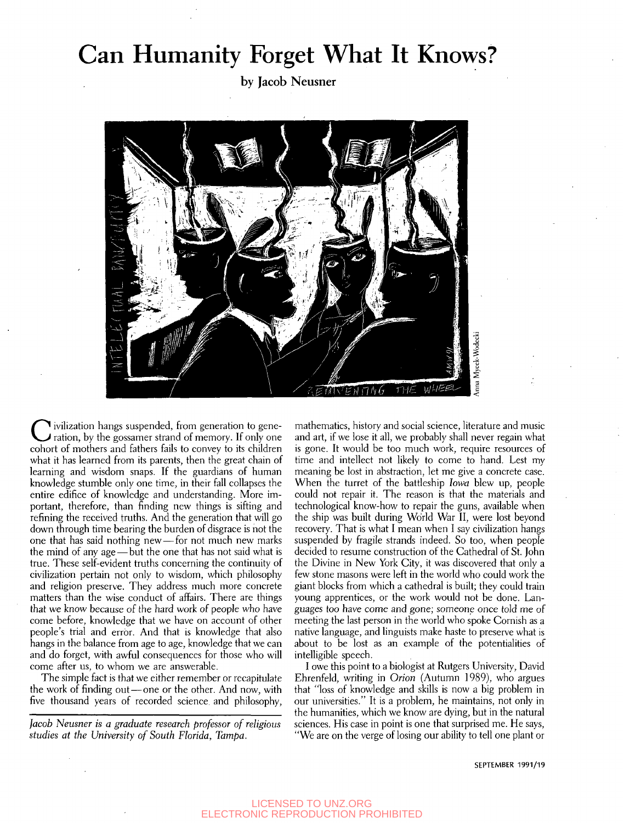## Can Humanity Forget What It Knows?

by Jacob Neusner



**C** ivilization hangs suspended, from generation to generation, by the gossamer strand of memory. If only one cohort of mothers and fathers fails to convey to its children ivilization hangs suspended, from generation to generation, by the gossamer strand of memory. If only one what it has learned from its parents, then the great chain of learning and wisdom snaps. If the guardians of human knowledge stumble only one time, in their fall collapses the entire edifice of knowledge and understanding. More important, therefore, than finding new things is sifting and refining the received truths. And the generation that will go down through time bearing the burden of disgrace is not the one that has said nothing new — for not much new marks the mind of any age—but the one that has not said what is true. These self-evident truths concerning the continuity of civilization pertain not only to wisdom, which philosophy and religion preserve. They address much more concrete matters than the wise conduct of affairs. There are things that we know because of the hard work of people who have come before, knowledge that we have on account of other people's trial and error. And that is knowledge that also hangs in the balance from age to age, knowledge that we can and do forget, with awful consequences for those who will come after us, to whom we are answerable.

The simple fact is that we either remember or recapitulate the work of finding out — one or the other. And now, with five thousand years of recorded science, and philosophy,

*Jacob Neusner is a graduate research professor of religious studies at the University of South Florida, Tampa.* 

mathematics, history and social science, literature and music and art, if we lose it all, we probably shall never regain what is gone. It would be too much work, require resources of time and intellect not likely to come to hand. Lest my meaning be lost in abstraction, let me give a concrete case. When the turret of the battleship *Iowa* blew up, people could not repair it. The reason is that the materials and technological know-how to repair the guns, available when the ship was built during World War II, were lost beyond recovery. That is what I mean when I say civilization hangs suspended by fragile strands indeed. So too, when people decided to resume construction of the Cathedral of St. John the Divine in New York City, it was discovered that only a few stone masons were left in the world who could work the giant blocks from which a cathedral is built; they could train young apprentices, or the work would not be done. Languages too have come and gone; someone once told me of meeting the last person in the world who spoke Cornish as a native language, and linguists make haste to preserve what is about to be lost as an example of the potentialities of intelligible speech.

I owe this point to a biologist at Rutgers University, David Ehrenfeld, writing in *Orion* (Autumn 1989), who argues that "loss of knowledge and skills is now a big problem in our universities." It is a problem, he maintains, not only in the humanities, which we know are dying, but in the natural sciences. His case in point is one that surprised me. He says, "We are on the verge of losing our ability to tell one plant or

SEPTEMBER 1991/19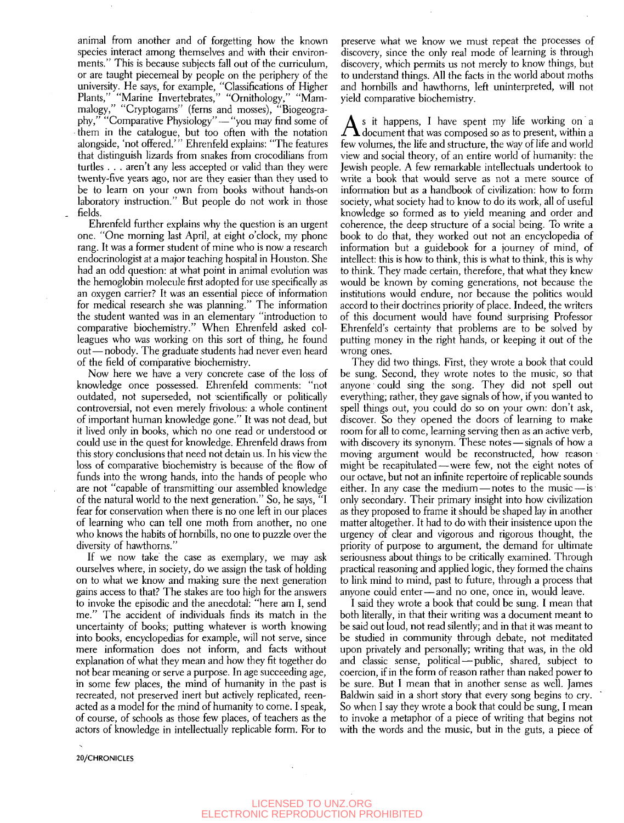animal from another and of forgetting how the known species interact among themselves and with their environments." This is because subjects fall out of the curriculum, or are taught piecemeal by people on the periphery of the university. He says, for example, "Classifications of Higher Plants," "Marine Invertebrates," "Ornithology," "Mammalogy," "Cryptogams" (ferns and mosses), "Biogeography," "Comparative Physiology" — "you may find some of them in the catalogue, but too often with the notation alongside, 'not offered.'" Ehrenfeld explains: "The features that distinguish lizards from snakes from crocodilians from turtles . . . aren't any less accepted or valid than they were twenty-five years ago, nor are they easier than they used to be to learn on your own from books without hands-on laboratory instruction." But people do not work in those fields.

Ehrenfeld further explains why the question is an urgent one. "One morning last April, at eight o'clock, my phone rang. It was a former student of mine who is now a research endocrinologist at a major teaching hospital in Houston. She had an odd question: at what point in animal evolution was the hemoglobin molecule first adopted for use specifically as an oxygen carrier? It was an essential piece of information for medical research she was planning." The information the student wanted was in an elementary "introduction to comparative biochemistry." When Ehrenfeld asked colleagues who was working on this sort of thing, he found out—nobody. The graduate students had never even heard of the field of comparative biochemistry.

Now here we have a very concrete case of the loss of knowledge once possessed. Ehrenfeld comments: "not outdated, not superseded, not scientifically or politically controversial, not even merely frivolous: a whole continent of important human knowledge gone." It was not dead, but it lived only in books, which no one read or understood or could use in the quest for knowledge. Ehrenfeld draws from this story conclusions that need not detain us. In his view the loss of comparative biochemistry is because of the flow of funds into the wrong hands, into the hands of people who are not "capable of transmitting our assembled knowledge of the natural world to the next generation." So, he says, "I fear for conservation when there is no one left in our places of learning who can tell one moth from another, no one who knows the habits of hornbills, no one to puzzle over the diversity of hawthorns.'

If we now take the case as exemplary, we may ask ourselves where, in society, do we assign the task of holding on to what we know and making sure the next generation gains access to that? The stakes are too high for the answers to invoke the episodic and the anecdotal: "here am I, send me." The accident of individuals finds its match in the uncertainty of books; putting whatever is worth knowing into books, encyclopedias for example, will not serve, since mere information does not inform, and facts without explanation of what they mean and how they fit together do not bear meaning or serve a purpose. In age succeeding age, in some few places, the mind of humanity in the past is recreated, not preserved inert but actively replicated, reenacted as a model for the mind of humanity to come. I speak, of course, of schools as those few places, of teachers as the actors of knowledge in intellectually replicable form. For to preserve what we know we must repeat the processes of discovery, since the only real mode of learning is through discovery, which permits us not merely to know things, but to understand things. All the facts in the world about moths and hornbills and hawthorns, left uninterpreted, will not yield comparative biochemistry.

 $\Lambda$ <sup>s</sup> it happens, I have spent my life working on a document that was composed so as to present, within a s it happens, I have spent my life working on a few volumes, the life and structure, the way of life and world view and social theory, of an entire world of humanity: the Jewish people. A few remarkable intellectuals undertook to write a book that would serve as not a mere source of information but as a handbook of civilization: how to form society, what society had to know to do its work, all of useful knowledge so formed as to yield meaning and order and coherence, the deep structure of a social being. To write a book to do that, they worked out not an encyclopedia of information but a guidebook for a journey of mind, of intellect: this is how to think, this is what to think, this is why to think. They made certain, therefore, that what they knew would be known by coming generations, not because the institutions would endure, nor because the politics would accord to their doctrines priority of place. Indeed, the writers of this document would have found surprising Professor Ehrenfeld's certainty that problems are to be solved by putting money in the right hands, or keeping it out of the wrong ones.

They did two things. First, they wrote a book that could be sung. Second, they wrote notes to the music, so that anyone could sing the song. They did not spell out everything; rather, they gave signals of how, if you wanted to spell things out, you could do so on your own: don't ask, discover. So they opened the doors of learning to make room for all to come, learning serving then as an active verb, with discovery its synonym. These notes — signals of how a moving argument would be reconstructed, how reason might be recapitulated — were few, not the eight notes of our octave, but not an infinite repertoire of replicable sounds either. In any case the medium — notes to the music — is only secondary. Their primary insight into how civilization as they proposed to frame it should be shaped lay in another matter altogether. It had to do with their insistence upon the urgency of clear and vigorous and rigorous thought, the priority of purpose to argument, the demand for ultimate seriousness about things to be critically examined. Through practical reasoning and applied logic, they formed the chains to link mind to mind, past to future, through a process that anyone could enter—and no one, once in, would leave.

I said they wrote a book that could be sung. I mean that both literally, in that their writing was a document meant to be said out loud, not read silently; and in that it was meant to be studied in community through debate, not meditated upon privately and personally; writing that was, in the old and classic sense, political — public, shared, subject to coercion, if in the form of reason rather than naked power to be sure. But I mean that in another sense as well. James Baldwin said in a short story that every song begins to cry. So when I say they wrote a book that could be sung, I mean to invoke a metaphor of a piece of writing that begins not with the words and the music, but in the guts, a piece of

20/CHRONICLES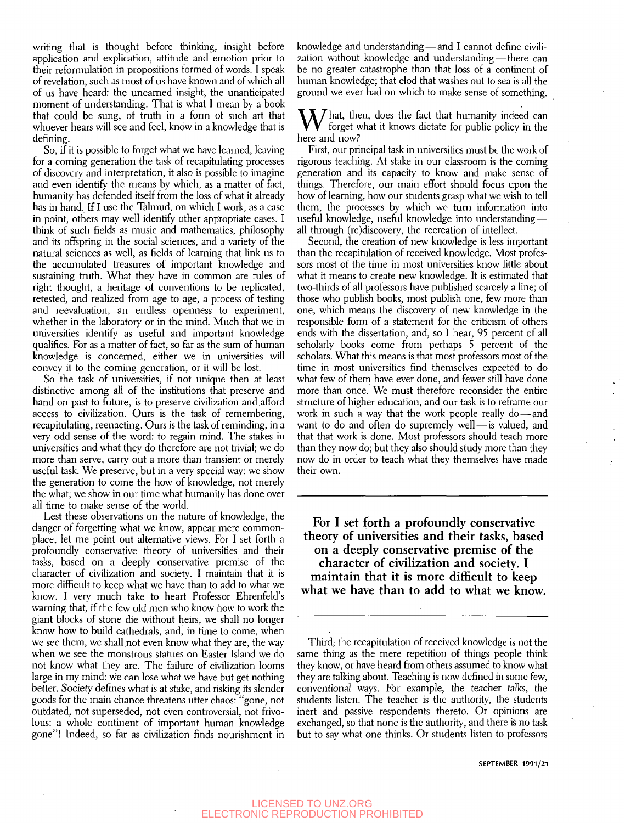writing that is thought before thinking, insight before application and explication, attitude and emotion prior to their reformulation in propositions formed of words. I speak of revelation, such as most of us have known and of which all of us have heard: the unearned insight, the unanticipated moment of understanding. That is what I mean by a book that could be sung, of truth in a form of such art that whoever hears will see and feel, know in a knowledge that is defining.

So, if it is possible to forget what we have learned, leaving for a coming generation the task of recapitulating processes of discovery and interpretation, it also is possible to imagine and even identify the means by which, as a matter of fact, humanity has defended itself from the loss of what it already has in hand. If I use the Talmud, on which I work, as a case in point, others may well identify other appropriate cases. I think of such fields as music and mathematics, philosophy and its offspring in the social sciences, and a variety of the natural sciences as well, as fields of learning that link us to the accumulated treasures of important knowledge and sustaining truth. What they have in common are rules of right thought, a heritage of conventions to be replicated, retested, and realized from age to age, a process of testing and reevaluation, an endless openness to experiment, whether in the laboratory or in the mind. Much that we in universities identify as useful and important knowledge qualifies. For as a matter of fact, so far as the sum of human knowledge is concerned, either we in universities will convey it to the coming generation, or it will be lost.

So the task of universities, if not unique then at least distinctive among all of the institutions that preserve and hand on past to future, is to preserve civilization and afford access to civilization. Ours is the task of remembering, recapitulating, reenacting. Ours is the task of reminding, in a very odd sense of the word: to regain mind. The stakes in universities and what they do therefore are not trivial; we do more than serve, carry out a more than transient or merely useful task. We preserve, but in a very special way: we show the generation to come the how of knowledge, not merely the what; we show in our time what humanity has done over all time to make sense of the world.

Lest these observations on the nature of knowledge, the danger of forgetting what we know, appear mere commonplace, let me point out alternative views. For I set forth a profoundly conservative theory of universities and their tasks, based on a deeply conservative premise of the character of civilization and society. I maintain that it is more difficult to keep what we have than to add to what we know. I very much take to heart Professor Ehrenfeld's warning that, if the few old men who know how to work the giant blocks of stone die without heirs, we shall no longer know how to build cathedrals, and, in time to come, when we see them, we shall not even know what they are, the way when we see the monstrous statues on Easter Island we do not know what they are. The failure of civilization looms large in my mind: we can lose what we have but get nothing better. Society defines what is at stake, and risking its slender goods for the main chance threatens utter chaos: "gone, not outdated, not superseded, not even controversial, not frivolous: a whole continent of important human knowledge gone"! Indeed, so far as civilization finds nourishment in knowledge and understanding — and I cannot define civilization without knowledge and understanding — there can be no greater catastrophe than that loss of a continent of human knowledge; that clod that washes out to sea is all the ground we ever had on which to make sense of something.

 $\sum_{k=1}^{N}$  hat, then, does the fact that humanity indeed can forget what it knows dictate for public policy in the here and now?

First, our principal task in universities must be the work of rigorous teaching. At stake in our classroom is the coming generation and its capacity to know and make sense of things. Therefore, our main effort should focus upon the how of learning, how our students grasp what we wish to tell them, the processes by which we turn information into useful knowledge, useful knowledge into understanding all through (re)discovery, the recreation of intellect.

Second, the creation of new knowledge is less important than the recapitulation of received knowledge. Most professors most of the time in most universities know little about what it means to create new knowledge. It is estimated that two-thirds of all professors have published scarcely a line; of those who publish books, most publish one, few more than one, which means the discovery of new knowledge in the responsible form of a statement for the criticism of others ends with the dissertation; and, so I hear, 95 percent of all scholarly books come from perhaps 5 percent of the scholars. What this means is that most professors most of the time in most universities find themselves expected to do what few of them have ever done, and fewer still have done more than once. We must therefore reconsider the entire structure of higher education, and our task is to reframe our work in such a way that the work people really do-and want to do and often do supremely well- is valued, and that that work is done. Most professors should teach more than they now do; but they also should study more than they now do in order to teach what they themselves have made their own.

For I set forth a profoundly conservative theory of universities and their tasks, based on a deeply conservative premise of the character of civilization and society. I maintain that it is more difficult to keep what we have than to add to what we know.

Third, the recapitulation of received knowledge is not the same thing as the mere repetition of things people think they know, or have heard from others assumed to know what they are talking about. Teaching is now defined in some few, conventional ways. For example, the teacher talks, the students listen. The teacher is the authority, the students inert and passive respondents thereto. Or opinions are exchanged, so that none is the authority, and there is no task but to say what one thinks. Or students listen to professors